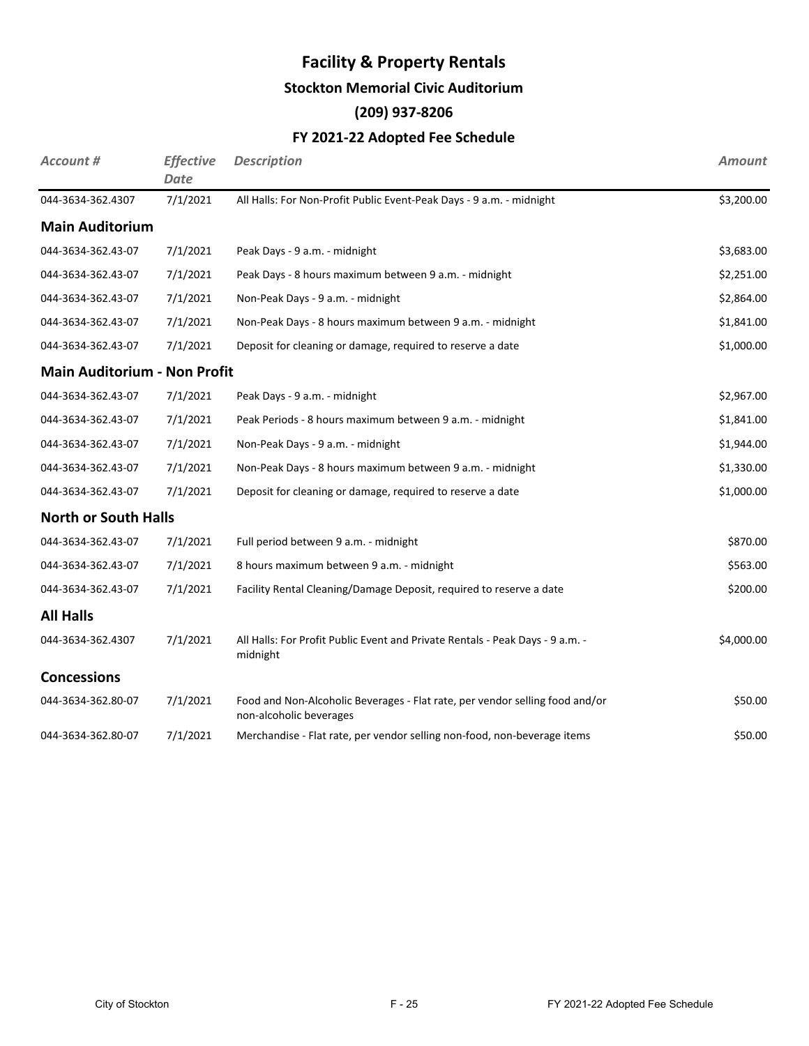# **Stockton Memorial Civic Auditorium**

# **(209) 937-8206**

# **FY 2021-22 Adopted Fee Schedule**

| Account #                           | <b>Effective</b><br><b>Date</b> | <b>Description</b>                                                                                      | <b>Amount</b> |
|-------------------------------------|---------------------------------|---------------------------------------------------------------------------------------------------------|---------------|
| 044-3634-362.4307                   | 7/1/2021                        | All Halls: For Non-Profit Public Event-Peak Days - 9 a.m. - midnight                                    | \$3,200.00    |
| <b>Main Auditorium</b>              |                                 |                                                                                                         |               |
| 044-3634-362.43-07                  | 7/1/2021                        | Peak Days - 9 a.m. - midnight                                                                           | \$3,683.00    |
| 044-3634-362.43-07                  | 7/1/2021                        | Peak Days - 8 hours maximum between 9 a.m. - midnight                                                   | \$2,251.00    |
| 044-3634-362.43-07                  | 7/1/2021                        | Non-Peak Days - 9 a.m. - midnight                                                                       | \$2,864.00    |
| 044-3634-362.43-07                  | 7/1/2021                        | Non-Peak Days - 8 hours maximum between 9 a.m. - midnight                                               | \$1,841.00    |
| 044-3634-362.43-07                  | 7/1/2021                        | Deposit for cleaning or damage, required to reserve a date                                              | \$1,000.00    |
| <b>Main Auditorium - Non Profit</b> |                                 |                                                                                                         |               |
| 044-3634-362.43-07                  | 7/1/2021                        | Peak Days - 9 a.m. - midnight                                                                           | \$2,967.00    |
| 044-3634-362.43-07                  | 7/1/2021                        | Peak Periods - 8 hours maximum between 9 a.m. - midnight                                                | \$1,841.00    |
| 044-3634-362.43-07                  | 7/1/2021                        | Non-Peak Days - 9 a.m. - midnight                                                                       | \$1,944.00    |
| 044-3634-362.43-07                  | 7/1/2021                        | Non-Peak Days - 8 hours maximum between 9 a.m. - midnight                                               | \$1,330.00    |
| 044-3634-362.43-07                  | 7/1/2021                        | Deposit for cleaning or damage, required to reserve a date                                              | \$1,000.00    |
| <b>North or South Halls</b>         |                                 |                                                                                                         |               |
| 044-3634-362.43-07                  | 7/1/2021                        | Full period between 9 a.m. - midnight                                                                   | \$870.00      |
| 044-3634-362.43-07                  | 7/1/2021                        | 8 hours maximum between 9 a.m. - midnight                                                               | \$563.00      |
| 044-3634-362.43-07                  | 7/1/2021                        | Facility Rental Cleaning/Damage Deposit, required to reserve a date                                     | \$200.00      |
| <b>All Halls</b>                    |                                 |                                                                                                         |               |
| 044-3634-362.4307                   | 7/1/2021                        | All Halls: For Profit Public Event and Private Rentals - Peak Days - 9 a.m. -<br>midnight               | \$4,000.00    |
| <b>Concessions</b>                  |                                 |                                                                                                         |               |
| 044-3634-362.80-07                  | 7/1/2021                        | Food and Non-Alcoholic Beverages - Flat rate, per vendor selling food and/or<br>non-alcoholic beverages | \$50.00       |
| 044-3634-362.80-07                  | 7/1/2021                        | Merchandise - Flat rate, per vendor selling non-food, non-beverage items                                | \$50.00       |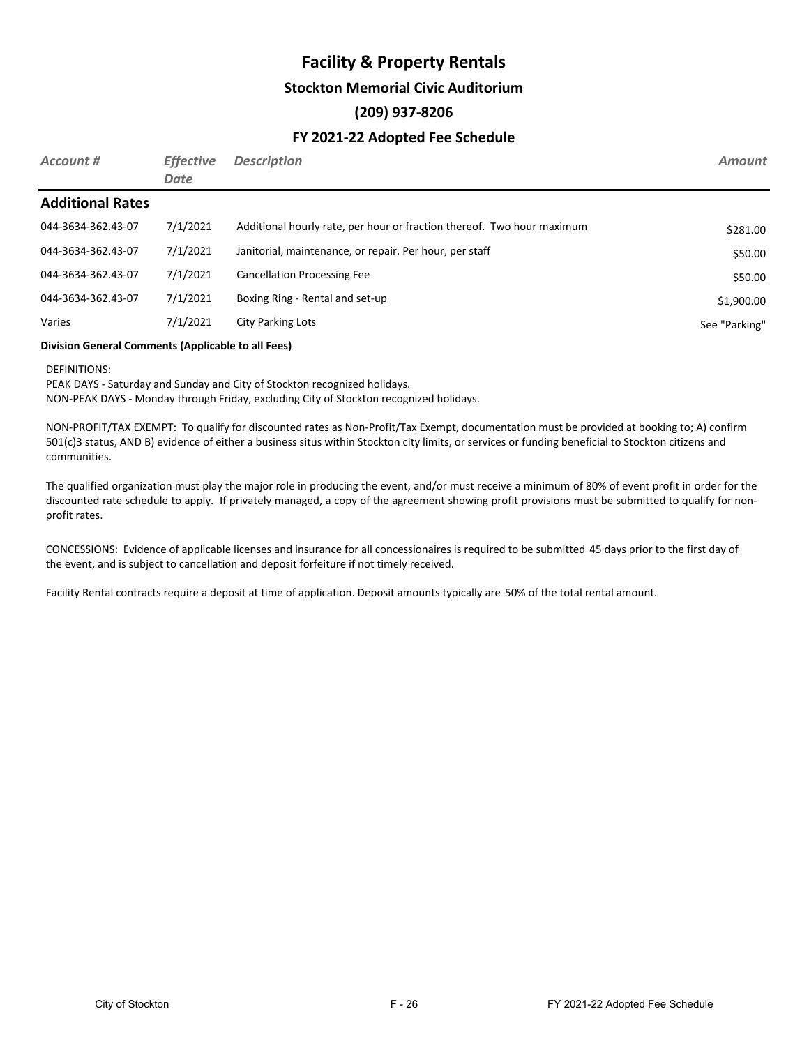#### **Stockton Memorial Civic Auditorium**

## **(209) 937-8206**

## **FY 2021-22 Adopted Fee Schedule**

| Account #               | <b>Effective</b><br>Date | <b>Description</b>                                                     | <b>Amount</b> |
|-------------------------|--------------------------|------------------------------------------------------------------------|---------------|
| <b>Additional Rates</b> |                          |                                                                        |               |
| 044-3634-362.43-07      | 7/1/2021                 | Additional hourly rate, per hour or fraction thereof. Two hour maximum | \$281.00      |
| 044-3634-362.43-07      | 7/1/2021                 | Janitorial, maintenance, or repair. Per hour, per staff                | \$50.00       |
| 044-3634-362.43-07      | 7/1/2021                 | <b>Cancellation Processing Fee</b>                                     | \$50.00       |
| 044-3634-362.43-07      | 7/1/2021                 | Boxing Ring - Rental and set-up                                        | \$1,900.00    |
| Varies                  | 7/1/2021                 | City Parking Lots                                                      | See "Parking" |

#### **Division General Comments (Applicable to all Fees)**

DEFINITIONS:

PEAK DAYS - Saturday and Sunday and City of Stockton recognized holidays. NON-PEAK DAYS - Monday through Friday, excluding City of Stockton recognized holidays.

NON-PROFIT/TAX EXEMPT: To qualify for discounted rates as Non-Profit/Tax Exempt, documentation must be provided at booking to; A) confirm 501(c)3 status, AND B) evidence of either a business situs within Stockton city limits, or services or funding beneficial to Stockton citizens and communities.

The qualified organization must play the major role in producing the event, and/or must receive a minimum of 80% of event profit in order for the discounted rate schedule to apply. If privately managed, a copy of the agreement showing profit provisions must be submitted to qualify for nonprofit rates.

CONCESSIONS: Evidence of applicable licenses and insurance for all concessionaires is required to be submitted 45 days prior to the first day of the event, and is subject to cancellation and deposit forfeiture if not timely received.

Facility Rental contracts require a deposit at time of application. Deposit amounts typically are 50% of the total rental amount.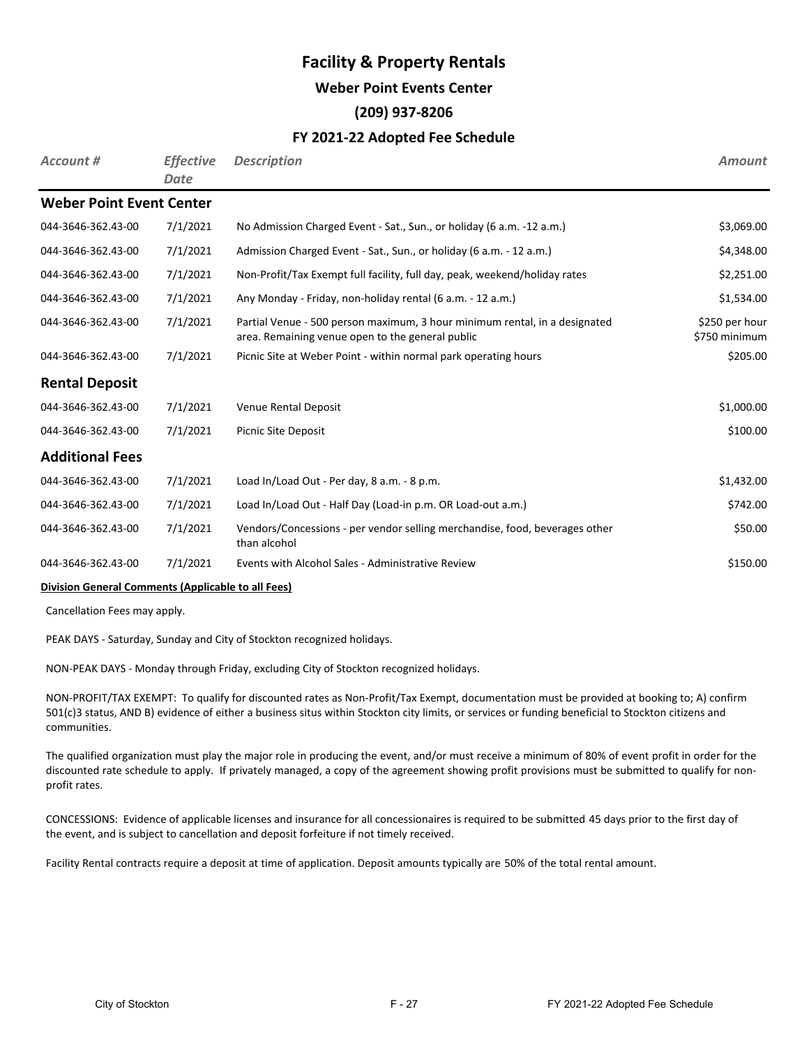#### **Weber Point Events Center**

### **(209) 937-8206**

### **FY 2021-22 Adopted Fee Schedule**

| Account #                       | <b>Effective</b><br>Date | <b>Description</b>                                                                                                             | <b>Amount</b>                   |
|---------------------------------|--------------------------|--------------------------------------------------------------------------------------------------------------------------------|---------------------------------|
| <b>Weber Point Event Center</b> |                          |                                                                                                                                |                                 |
| 044-3646-362.43-00              | 7/1/2021                 | No Admission Charged Event - Sat., Sun., or holiday (6 a.m. -12 a.m.)                                                          | \$3,069.00                      |
| 044-3646-362.43-00              | 7/1/2021                 | Admission Charged Event - Sat., Sun., or holiday (6 a.m. - 12 a.m.)                                                            | \$4,348.00                      |
| 044-3646-362.43-00              | 7/1/2021                 | Non-Profit/Tax Exempt full facility, full day, peak, weekend/holiday rates                                                     | \$2,251.00                      |
| 044-3646-362.43-00              | 7/1/2021                 | Any Monday - Friday, non-holiday rental (6 a.m. - 12 a.m.)                                                                     | \$1,534.00                      |
| 044-3646-362.43-00              | 7/1/2021                 | Partial Venue - 500 person maximum, 3 hour minimum rental, in a designated<br>area. Remaining venue open to the general public | \$250 per hour<br>\$750 minimum |
| 044-3646-362.43-00              | 7/1/2021                 | Picnic Site at Weber Point - within normal park operating hours                                                                | \$205.00                        |
| <b>Rental Deposit</b>           |                          |                                                                                                                                |                                 |
| 044-3646-362.43-00              | 7/1/2021                 | Venue Rental Deposit                                                                                                           | \$1,000.00                      |
| 044-3646-362.43-00              | 7/1/2021                 | <b>Picnic Site Deposit</b>                                                                                                     | \$100.00                        |
| <b>Additional Fees</b>          |                          |                                                                                                                                |                                 |
| 044-3646-362.43-00              | 7/1/2021                 | Load In/Load Out - Per day, 8 a.m. - 8 p.m.                                                                                    | \$1,432.00                      |
| 044-3646-362.43-00              | 7/1/2021                 | Load In/Load Out - Half Day (Load-in p.m. OR Load-out a.m.)                                                                    | \$742.00                        |
| 044-3646-362.43-00              | 7/1/2021                 | Vendors/Concessions - per vendor selling merchandise, food, beverages other<br>than alcohol                                    | \$50.00                         |
| 044-3646-362.43-00              | 7/1/2021                 | Events with Alcohol Sales - Administrative Review                                                                              | \$150.00                        |

#### **Division General Comments (Applicable to all Fees)**

Cancellation Fees may apply.

PEAK DAYS - Saturday, Sunday and City of Stockton recognized holidays.

NON-PEAK DAYS - Monday through Friday, excluding City of Stockton recognized holidays.

NON-PROFIT/TAX EXEMPT: To qualify for discounted rates as Non-Profit/Tax Exempt, documentation must be provided at booking to; A) confirm 501(c)3 status, AND B) evidence of either a business situs within Stockton city limits, or services or funding beneficial to Stockton citizens and communities.

The qualified organization must play the major role in producing the event, and/or must receive a minimum of 80% of event profit in order for the discounted rate schedule to apply. If privately managed, a copy of the agreement showing profit provisions must be submitted to qualify for nonprofit rates.

CONCESSIONS: Evidence of applicable licenses and insurance for all concessionaires is required to be submitted 45 days prior to the first day of the event, and is subject to cancellation and deposit forfeiture if not timely received.

Facility Rental contracts require a deposit at time of application. Deposit amounts typically are 50% of the total rental amount.